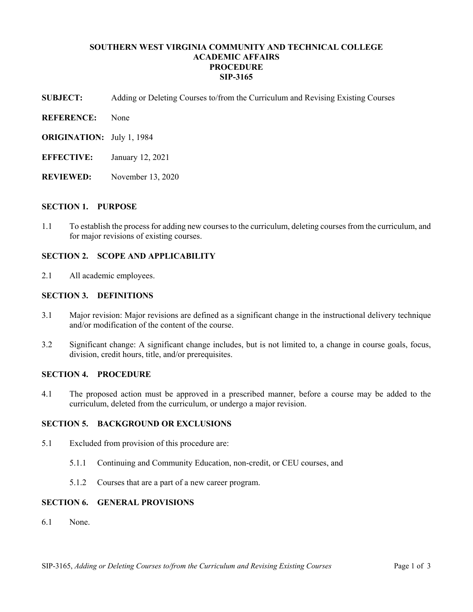# **SOUTHERN WEST VIRGINIA COMMUNITY AND TECHNICAL COLLEGE ACADEMIC AFFAIRS PROCEDURE SIP-3165**

- **SUBJECT:** Adding or Deleting Courses to/from the Curriculum and Revising Existing Courses
- **REFERENCE:** None
- **ORIGINATION:** July 1, 1984
- **EFFECTIVE:** January 12, 2021
- **REVIEWED:** November 13, 2020

#### **SECTION 1. PURPOSE**

1.1 To establish the process for adding new courses to the curriculum, deleting courses from the curriculum, and for major revisions of existing courses.

### **SECTION 2. SCOPE AND APPLICABILITY**

2.1 All academic employees.

#### **SECTION 3. DEFINITIONS**

- 3.1 Major revision: Major revisions are defined as a significant change in the instructional delivery technique and/or modification of the content of the course.
- 3.2 Significant change: A significant change includes, but is not limited to, a change in course goals, focus, division, credit hours, title, and/or prerequisites.

# **SECTION 4. PROCEDURE**

4.1 The proposed action must be approved in a prescribed manner, before a course may be added to the curriculum, deleted from the curriculum, or undergo a major revision.

#### **SECTION 5. BACKGROUND OR EXCLUSIONS**

- 5.1 Excluded from provision of this procedure are:
	- 5.1.1 Continuing and Community Education, non-credit, or CEU courses, and
	- 5.1.2 Courses that are a part of a new career program.

### **SECTION 6. GENERAL PROVISIONS**

6.1 None.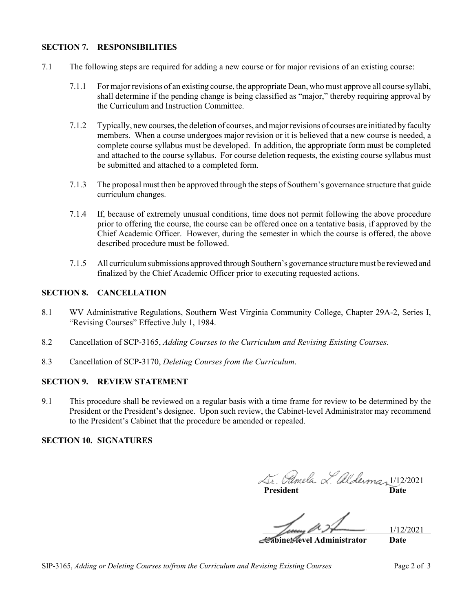# **SECTION 7. RESPONSIBILITIES**

- 7.1 The following steps are required for adding a new course or for major revisions of an existing course:
	- 7.1.1 For major revisions of an existing course, the appropriate Dean, who must approve all course syllabi, shall determine if the pending change is being classified as "major," thereby requiring approval by the Curriculum and Instruction Committee.
	- 7.1.2 Typically, new courses, the deletion of courses, and major revisions of courses are initiated by faculty members. When a course undergoes major revision or it is believed that a new course is needed, a complete course syllabus must be developed. In addition, the appropriate form must be completed and attached to the course syllabus. For course deletion requests, the existing course syllabus must be submitted and attached to a completed form.
	- 7.1.3 The proposal must then be approved through the steps of Southern's governance structure that guide curriculum changes.
	- 7.1.4 If, because of extremely unusual conditions, time does not permit following the above procedure prior to offering the course, the course can be offered once on a tentative basis, if approved by the Chief Academic Officer. However, during the semester in which the course is offered, the above described procedure must be followed.
	- 7.1.5 All curriculum submissions approved through Southern's governance structure must be reviewed and finalized by the Chief Academic Officer prior to executing requested actions.

### **SECTION 8. CANCELLATION**

- 8.1 WV Administrative Regulations, Southern West Virginia Community College, Chapter 29A-2, Series I, "Revising Courses" Effective July 1, 1984.
- 8.2 Cancellation of SCP-3165, *Adding Courses to the Curriculum and Revising Existing Courses*.
- 8.3 Cancellation of SCP-3170, *Deleting Courses from the Curriculum*.

### **SECTION 9. REVIEW STATEMENT**

9.1 This procedure shall be reviewed on a regular basis with a time frame for review to be determined by the President or the President's designee. Upon such review, the Cabinet-level Administrator may recommend to the President's Cabinet that the procedure be amended or repealed.

# **SECTION 10. SIGNATURES**

1/12/2021

**President Date**

1/12/2021

**Cabinet-level Administrator Date**